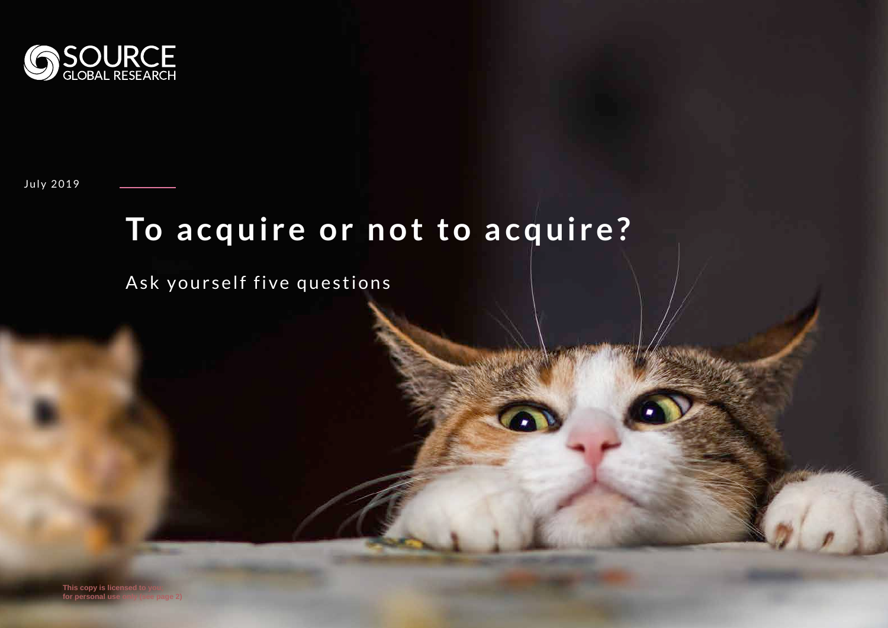

July 2019

#### To acquire or not to acquire?

Ask yourself five questions

**This copy is licensed to for personal use**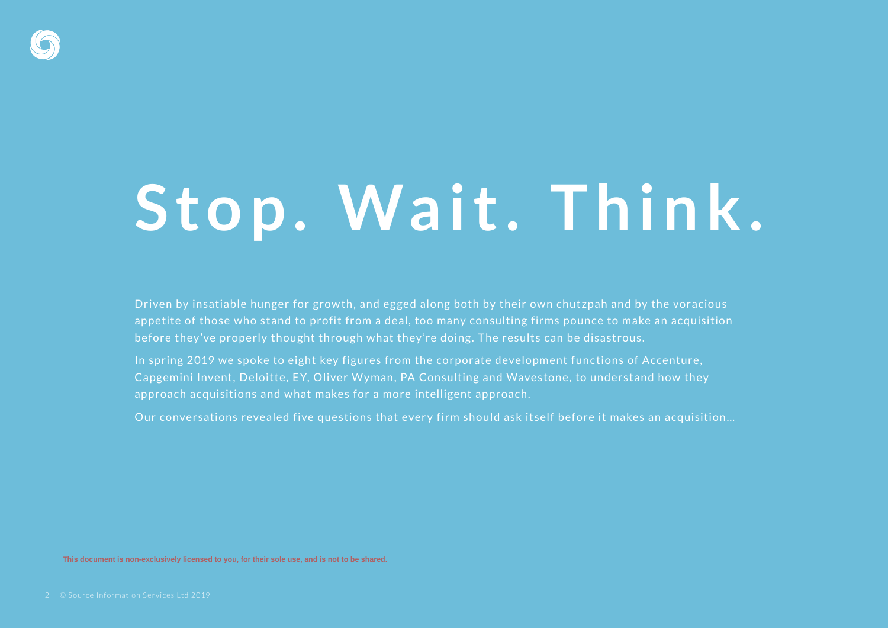

#### Stop. Wait. Think.

Driven by insatiable hunger for growth, and egged along both by their own chutzpah and by the voracious appetite of those who stand to profit from a deal, too many consulting firms pounce to make an acquisition before they've properly thought through what they're doing. The results can be disastrous.

In spring 2019 we spoke to eight key figures from the corporate development functions of Accenture, Capgemini Invent, Deloitte, EY, Oliver Wyman, PA Consulting and Wavestone, to understand how they approach acquisitions and what makes for a more intelligent approach.

Our conversations revealed five questions that every firm should ask itself before it makes an acquisition…

**This document is non-exclusively licensed to you, for their sole use, and is not to be shared.**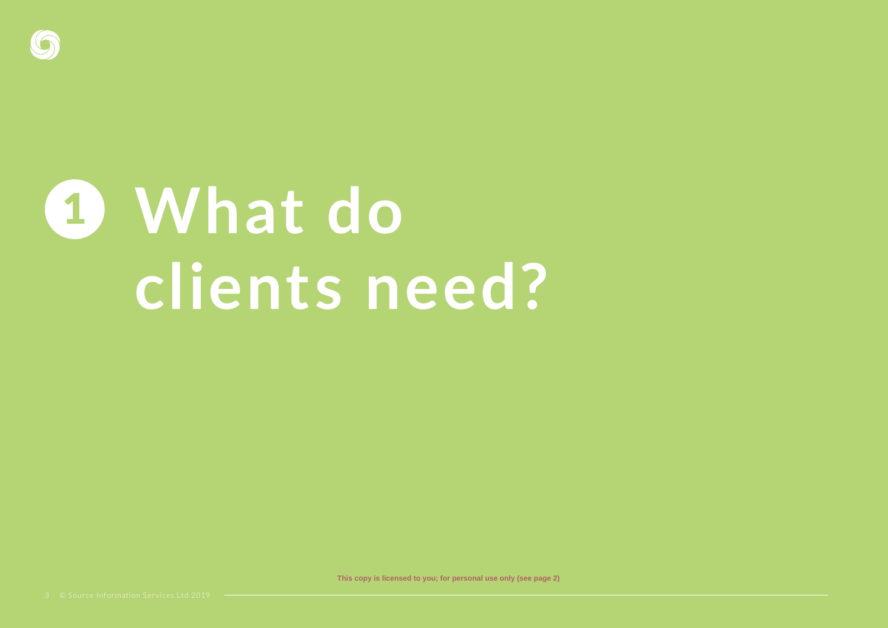

## **What do**  1 **clients need?**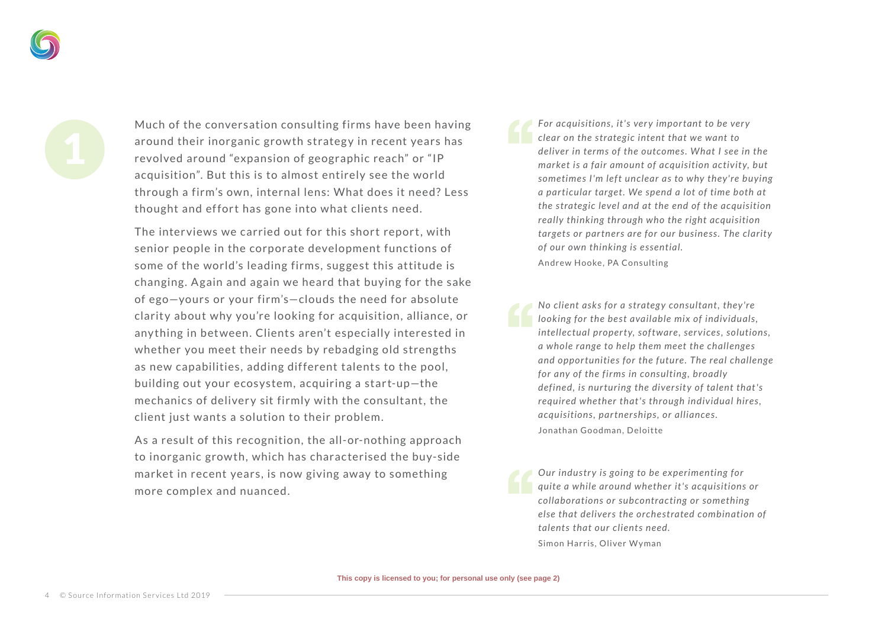Much of the conversation consulting firms have been having around their inorganic growth strategy in recent years has revolved around "expansion of geographic reach" or "IP acquisition". But this is to almost entirely see the world through a firm's own, internal lens: What does it need? Less thought and effort has gone into what clients need.

The interviews we carried out for this short report, with senior people in the corporate development functions of some of the world's leading firms, suggest this attitude is changing. Again and again we heard that buying for the sake of ego—yours or your firm's—clouds the need for absolute clarity about why you're looking for acquisition, alliance, or any thing in between. Clients aren't especially interested in whether you meet their needs by rebadging old strengths as new capabilities, adding different talents to the pool, building out your ecosystem, acquiring a start-up-the mechanics of delivery sit firmly with the consultant, the client just wants a solution to their problem.

As a result of this recognition, the all-or-nothing approach to inorganic growth, which has characterised the buy-side market in recent years, is now giving away to something more complex and nuanced.

*For acquisitions, it's very important to be very clear on the strategic intent that we want to deliver in terms of the outcomes . What I see in the market is a fair amount of acquisition activity, but* sometimes I'm left unclear as to why they're buying *a par ticular target. We spend a lot of time both at the strategic level and at the end of the acquisition really thinking through who the right acquisition targets or partners are for our business. The clarity of our own thinking is essential.* Andrew Hooke, PA Consulting

*No client asks for a strategy consultant, they're looking for the best available mix of individuals , intellectual property, software, services, solutions, a whole range to help them meet the challenges and oppor tunities for the future . The real challenge for any of the firms in consulting, broadly defined, is nurturing the diversity of talent that's required whether that 's through individual hires , acquisitions, partnerships, or alliances.* Jonathan Goodman, Deloitte

*Our industry is going to be experimenting for quite a while around whether it 's acquisitions or collaborations or subcontracting or something else that delivers the orchestrated combination of talents that our clients need.* Simon Harris, Oliver Wyman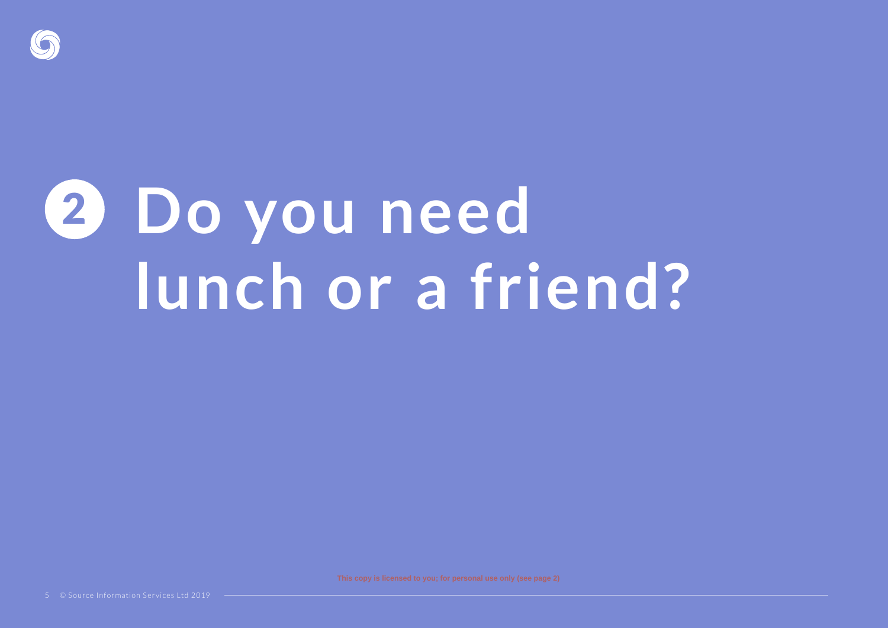

# **Do you need**  2 **lunch or a friend?**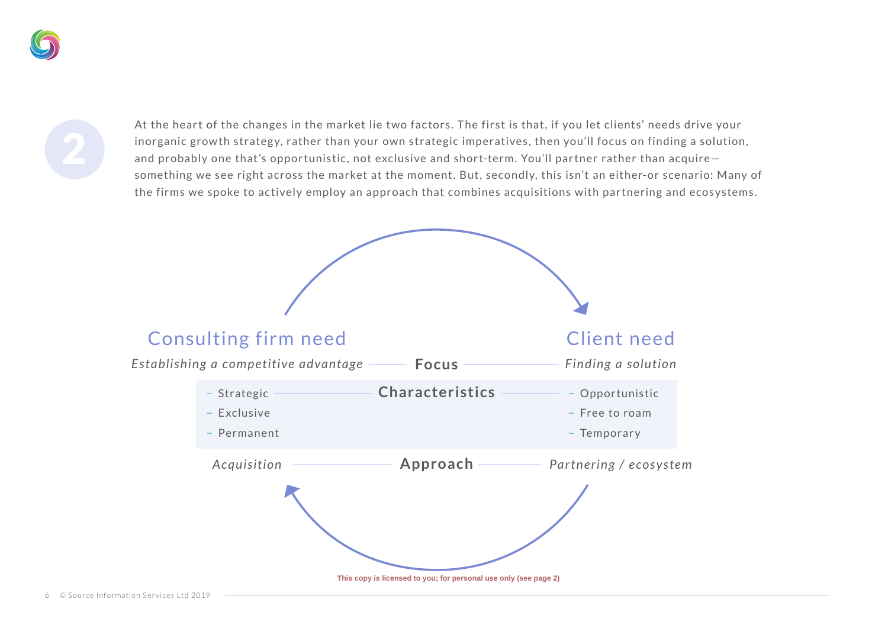At the heart of the changes in the market lie two factors. The first is that, if you let clients' needs drive your inorganic growth strategy, rather than your own strategic imperatives, then you'll focus on finding a solution, and probably one that's opportunistic, not exclusive and short-term. You'll partner rather than acquire something we see right across the market at the moment. But, secondly, this isn't an either-or scenario: Many of the firms we spoke to actively employ an approach that combines acquisitions with partnering and ecosystems.

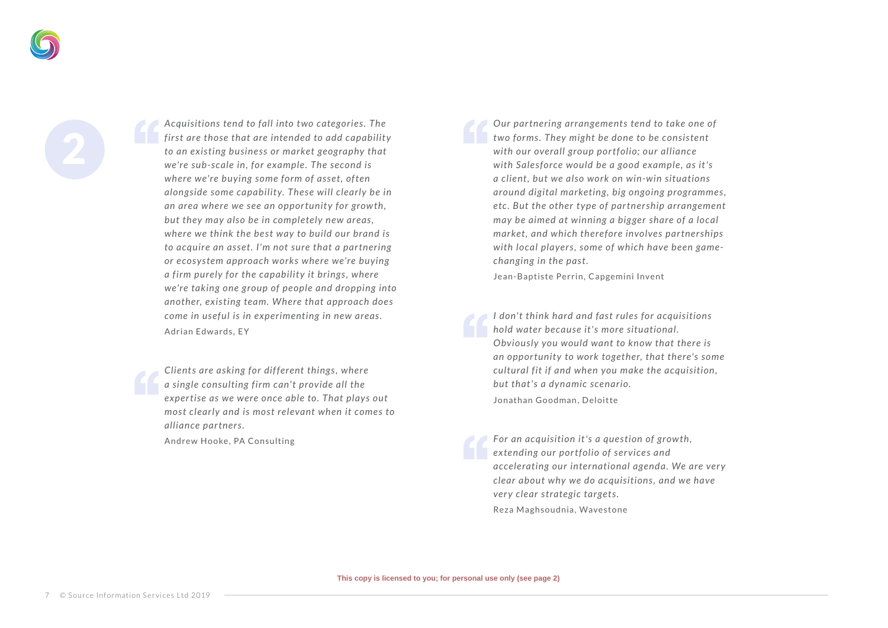*Acquisitions tend to fall into t wo categories . The first are those that are intended to add capabilit y to an existing business or market geography that we're sub-scale in, for example . The second is where we're buying some form of asset, of ten alongside some capabilit y. These will clearly be in*  an area where we see an opportunity for growth, *but they may also be in completely new areas , where we think the best way to build our brand is to acquire an asset. I'm not sure that a par tnering or ecosystem approach works where we're buying a firm purely for the capability it brings, where we're taking one group of people and dropping into another, existing team. Where that approach does come in useful is in experimenting in new areas.* Adrian Edwards, EY

*Clients are asking for dif ferent things , where a single consulting firm can't provide all the exper tise as we were once able to. That plays out most clearly and is most relevant when it comes to alliance partners.*

Andrew Hooke, PA Consulting

*Our par tnering arrangements tend to take one of t wo forms . They might be done to be consistent*  with our overall group portfolio; our alliance *with Sales force would be a good example , as it 's a client, but we also work on win-win situations around digital marketing, big ongoing programmes ,*  etc. But the other type of partnership arrangement *may be aimed at winning a bigger share of a local market, and which therefore involves par tnerships with local players, some of which have been gamechanging in the past.*

Jean-Baptiste Perrin, Capgemini Invent

*I don' t think hard and fast rules for acquisitions hold water because it 's more situational. Obviously you would want to know that there is*  an opportunity to work together, that there's some *cultural fit if and when you make the acquisition, but that's a dynamic scenario.* Jonathan Goodman, Deloitte

*For an acquisition it 's a question of grow th, extending our portfolio of services and accelerating our international agenda. We are very clear about why we do acquisitions , and we have very clear strategic targets.* Reza Maghsoudnia, Wavestone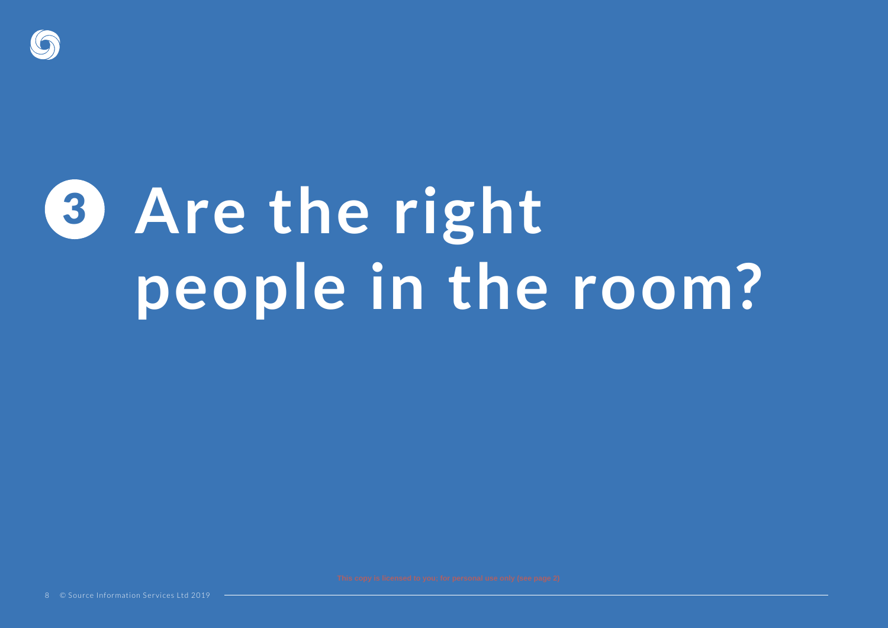

## **Are the right**  3 **people in the room?**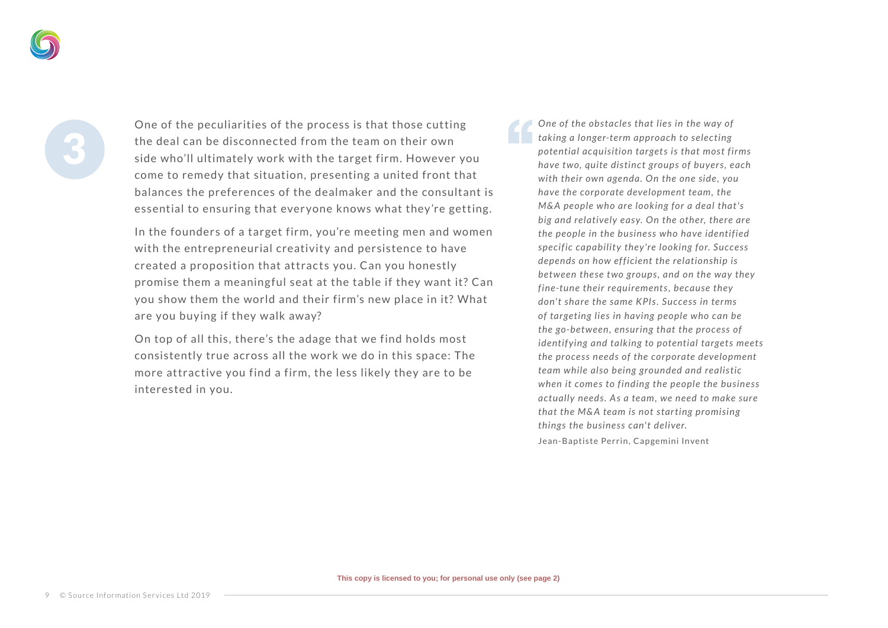One of the peculiarities of the process is that those cutting the deal can be disconnected from the team on their own side who'll ultimately work with the target firm. However you come to remedy that situation, presenting a united front that balances the preferences of the dealmaker and the consultant is essential to ensuring that ever yone knows what they 're getting.

In the founders of a target firm, you're meeting men and women with the entrepreneurial creativity and persistence to have created a proposition that attracts you. Can you honestly promise them a meaning ful seat at the table if they want it? Can you show them the world and their firm's new place in it? What are you buying if they walk away?

On top of all this, there's the adage that we find holds most consistently true across all the work we do in this space: The more attractive you find a firm, the less likely they are to be interested in you.

*One of the obstacles that lies in the way of taking a longer-term approach to selecting potential acquisition targets is that most firms have t wo, quite distinct groups of buyers , each with their own agenda. On the one side , you have the corporate development team, the M& A people who are looking for a deal that 's big and relatively easy. On the other, there are the people in the business who have identified*  specific capability they're looking for. Success *depends on how ef ficient the relationship is bet ween these t wo groups , and on the way they fine-tune their requirements , because they*  don't share the same KPIs, Success in terms *of targeting lies in having people who can be the go-bet ween, ensuring that the process of identif ying and talking to potential targets meets the process needs of the corporate development team while also being grounded and realistic when it comes to finding the people the business*  actually needs. As a team, we need to make sure *that the M& A team is not star ting promising things the business can't deliver.* Jean-Baptiste Perrin, Capgemini Invent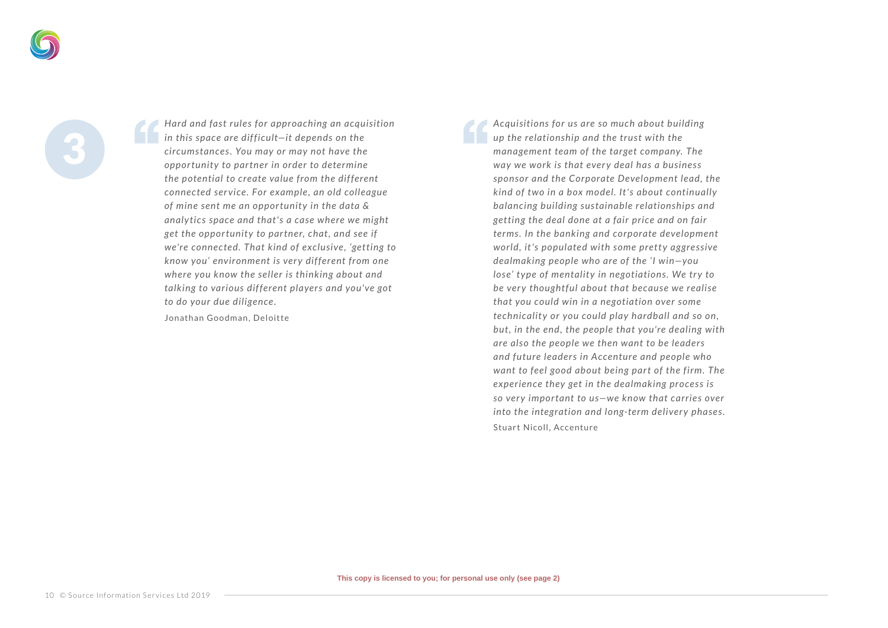*Hard and fast rules for approaching an acquisition in this space are dif ficult—it depends on the circumstances . You may or may not have the oppor tunit y to par tner in order to determine the potential to create value from the dif ferent connected ser vice . For example , an old colleague*  of mine sent me an opportunity in the data & *analy tic s space and that 's a case where we might get the oppor tunit y to par tner, chat, and see if we're connected. That kind of exclusive , 'getting to know you' environment is ver y dif ferent from one where you know the seller is thinking about and talking to various dif ferent players and you've got to do your due diligence.*

Jonathan Goodman, Deloitte

*Acquisitions for us are so much about building up the relationship and the trust with the management team of the target company. The way we work is that ever y deal has a business sponsor and the Corporate Development lead, the kind of t wo in a box model. It 's about continually balancing building sustainable relationships and getting the deal done at a fair price and on fair terms . In the banking and corporate development world, it's populated with some pretty aggressive dealmaking people who are of the 'I win—you lose' type of mentality in negotiations. We try to* be very thoughtful about that because we realise *that you could win in a negotiation over some technicality or you could play hardball and so on. but, in the end, the people that you're dealing with are also the people we then want to be leaders and future leaders in Accenture and people who want to feel good about being part of the firm. The experience they get in the dealmaking process is*  so very important to us-we know that carries over *into the integration and long-term delivery phases.* Stuart Nicoll, Accenture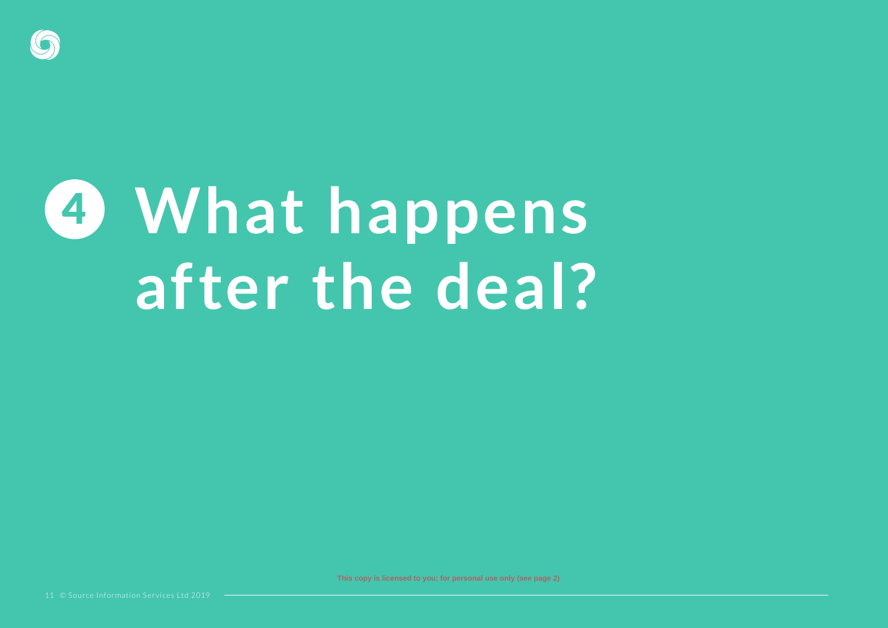

#### **What happens**  4 **after the deal?**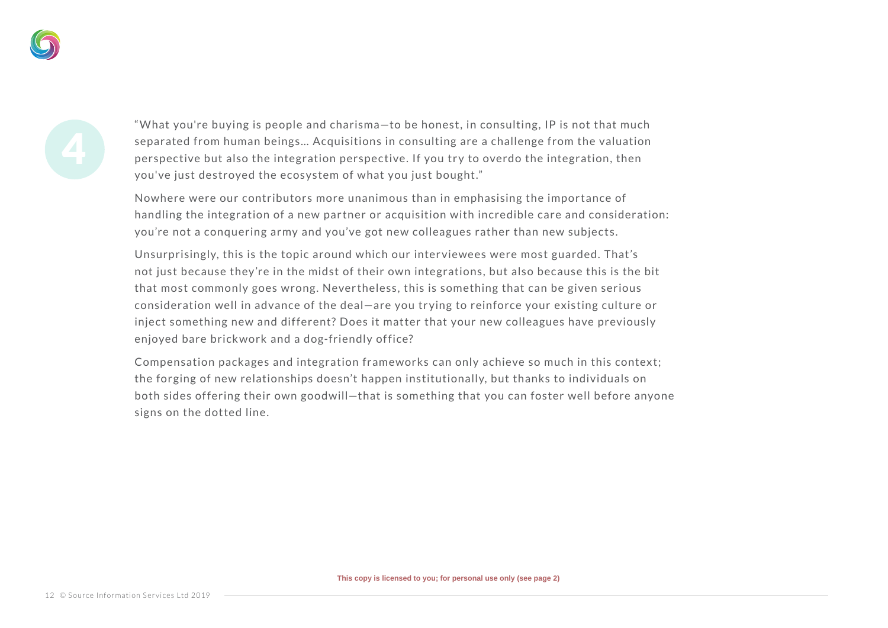" What you're buying is people and charisma—to be honest, in consulting, IP is not that much separated from human beings… Acquisitions in consulting are a challenge from the valuation perspective but also the integration perspective. If you try to overdo the integration, then you've just destroyed the ecosystem of what you just bought."

Nowhere were our contributors more unanimous than in emphasising the importance of handling the integration of a new partner or acquisition with incredible care and consideration: you're not a conquering army and you've got new colleagues rather than new subjects.

Unsurprisingly, this is the topic around which our inter viewees were most guarded. That's not just because they 're in the midst of their own integrations, but also because this is the bit that most commonly goes wrong. Never theless, this is something that can be given serious consideration well in advance of the deal—are you tr ying to reinforce your existing culture or inject something new and different? Does it matter that your new colleagues have previously enjoyed bare brick work and a dog-friendly office?

Compensation packages and integration frameworks can only achieve so much in this context; the forging of new relationships doesn't happen institutionally, but thanks to individuals on both sides of fering their own goodwill—that is something that you can foster well before anyone signs on the dotted line.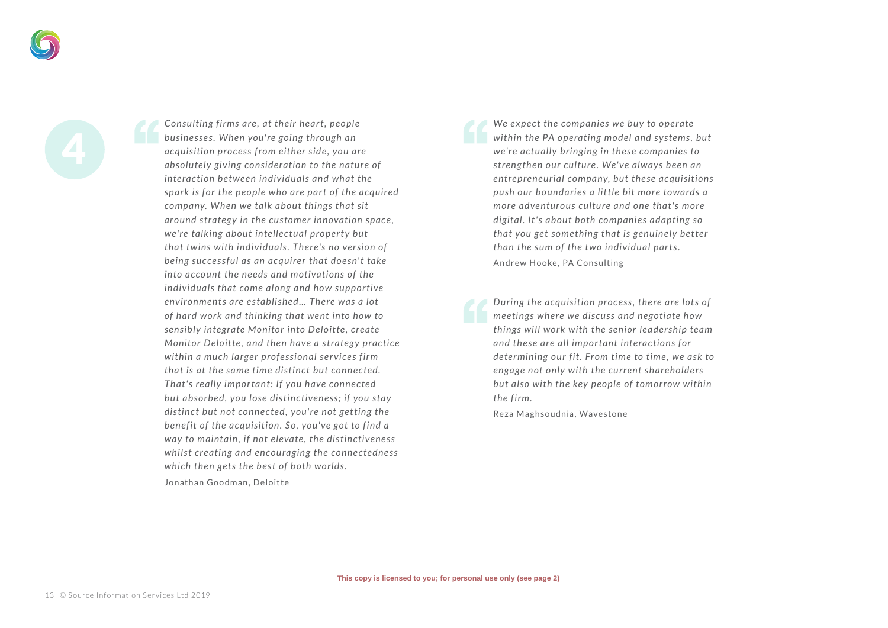*Consulting firms are , at their hear t, people businesses . When you're going through an acquisition process from either side , you are absolutely giving consideration to the nature of interaction bet ween individuals and what the spark is for the people who are part of the acquired company. When we talk about things that sit around strategy in the customer innovation space, we're talking about intellectual property but that t wins with individuals . There's no version of being successful as an acquirer that doesn't take into account the needs and motivations of the individuals that come along and how suppor tive environments are established… There was a lot of hard work and thinking that went into how to sensibly integrate Monitor into Deloitte , create Monitor Deloitte, and then have a strategy practice within a much larger professional ser vices firm that is at the same time distinct but connected. That 's really impor tant: If you have connected but absorbed, you lose distinctiveness; if you stay distinct but not connected, you're not getting the benefit of the acquisition. So, you've got to find a way to maintain, if not elevate , the distinctiveness whilst creating and encouraging the connectedness which then gets the best of both worlds.*

Jonathan Goodman, Deloitte

*We expect the companies we buy to operate within the PA operating model and systems , but we're actually bringing in these companies to streng then our culture . We've always been an entrepreneurial company, but these acquisitions push our boundaries a little bit more towards a more adventurous culture and one that 's more digital. It 's about both companies adapting so that you get something that is genuinely better than the sum of the two individual parts.* Andrew Hooke, PA Consulting

*During the acquisition process , there are lots of meetings where we discuss and negotiate how things will work with the senior leadership team and these are all impor tant interactions for determining our fit. From time to time , we ask to engage not only with the current shareholders but also with the key people of tomorrow within the firm.*

Reza Maghsoudnia, Wavestone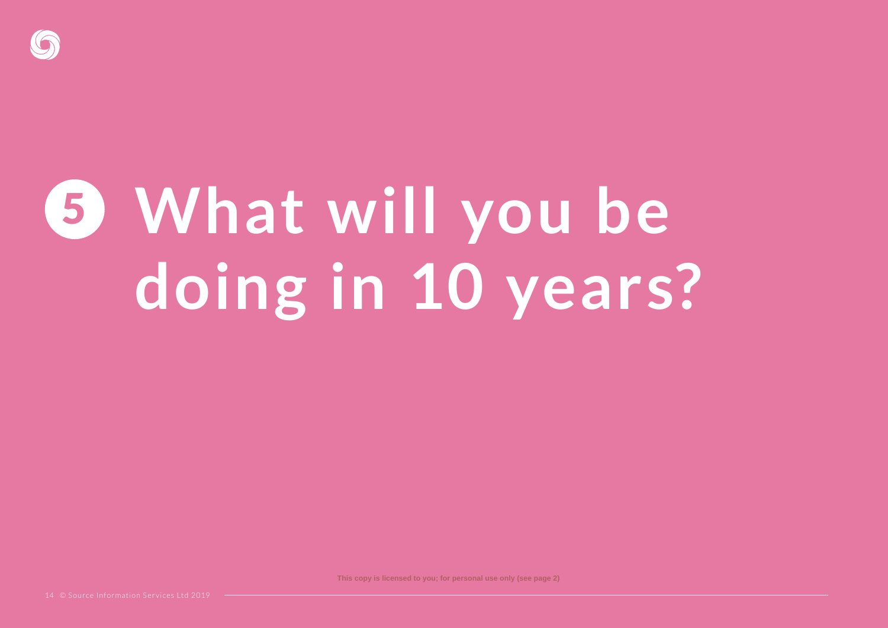

# **What will you be**  5 **doing in 10 years?**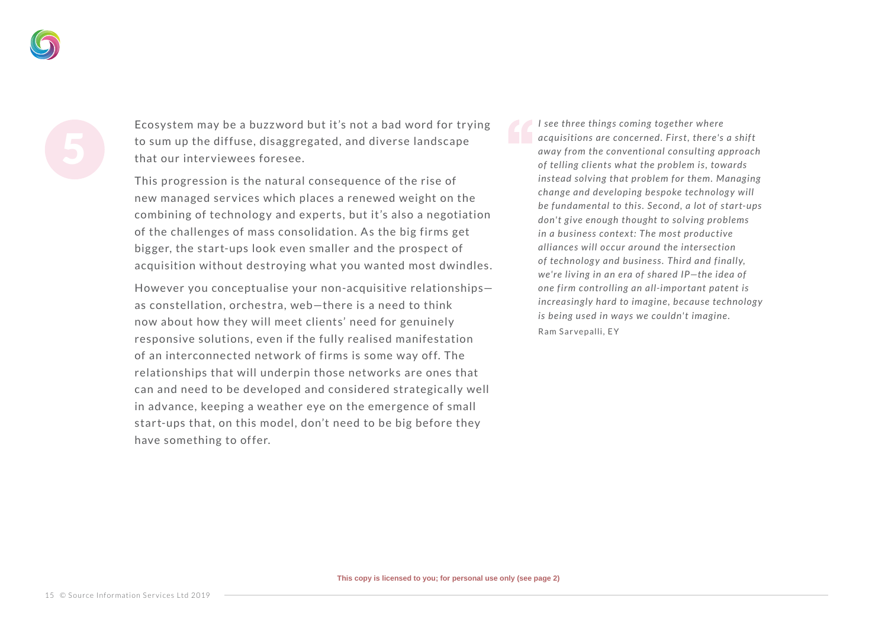Ecosystem may be a buzzword but it's not a bad word for trying to sum up the diffuse, disaggregated, and diverse landscape that our inter viewees foresee.

This progression is the natural consequence of the rise of new managed ser vices which places a renewed weight on the combining of technology and experts, but it's also a negotiation of the challenges of mass consolidation. As the big firms get bigger, the start-ups look even smaller and the prospect of acquisition without destroying what you wanted most dwindles.

However you conceptualise your non-acquisitive relationships as constellation, orchestra, web—there is a need to think now about how they will meet clients' need for genuinely responsive solutions, even if the fully realised manifestation of an interconnected network of firms is some way off. The relationships that will underpin those net works are ones that can and need to be developed and considered strategically well in advance, keeping a weather eye on the emergence of small start-ups that, on this model, don't need to be big before they have something to offer.

*I see three things coming together where acquisitions are concerned. First, there's a shif t away from the conventional consulting approach of telling clients what the problem is , towards instead solving that problem for them. Managing*  change and developing bespoke technology will *be fundamental to this . Second, a lot of star t-ups*  don't give enough thought to solving problems *in a business context: The most productive alliances will occur around the intersection*  of technology and business. Third and finally, *we're living in an era of shared IP—the idea of one firm controlling an all-impor tant patent is increasingly hard to imagine , because technolog y is being used in ways we couldn't imagine.* Ram Sarvepalli, EY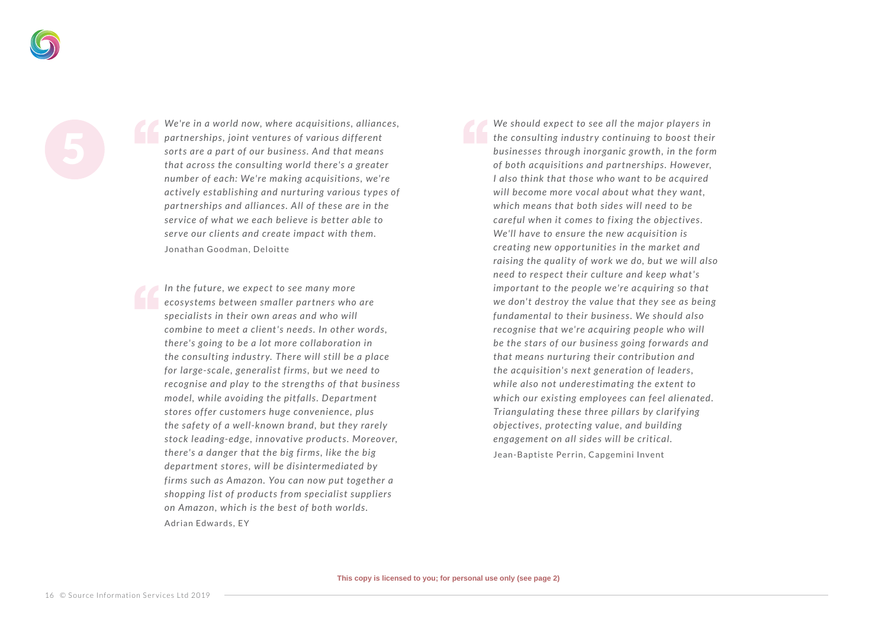*We're in a world now, where acquisitions , alliances , par tnerships , joint ventures of various dif ferent*  sorts are a part of our business. And that means *that across the consulting world there's a greater number of each: We're making acquisitions , we're actively establishing and nur turing various t ypes of par tnerships and alliances . All of these are in the ser vice of what we each believe is better able to serve our clients and create impact with them.* Jonathan Goodman, Deloitte

In the future, we expect to see many more *ecosystems bet ween smaller par tners who are specialists in their own areas and who will combine to meet a client 's needs . In other words , there's going to be a lot more collaboration in the consulting industr y. There will still be a place for large-scale , generalist firms , but we need to recognise and play to the streng ths of that business model, while avoiding the pit falls . Depar tment stores of fer customers huge convenience , plus the safety of a well-known brand, but they rarely stock leading-edge , innovative products . Moreover, there's a danger that the big firms , like the big depar tment stores , will be disintermediated by firms such as Amazon. You can now put together a shopping list of products from specialist suppliers on Amazon, which is the best of both worlds.*

*We should expect to see all the major players in the consulting industry continuing to boost their businesses through inorganic grow th, in the form of both acquisitions and par tnerships . However, I also think that those who want to be acquired will become more vocal about what they want, which means that both sides will need to be careful when it comes to fixing the objectives . We'll have to ensure the new acquisition is creating new oppor tunities in the market and*  raising the quality of work we do, but we will also *need to respect their culture and keep what 's impor tant to the people we're acquiring so that we don' t destroy the value that they see as being fundamental to their business . We should also recognise that we're acquiring people who will be the stars of our business going for wards and that means nur turing their contribution and the acquisition's next generation of leaders , while also not underestimating the extent to which our existing employees can feel alienated. Triangulating these three pillars by clarif ying objectives , protecting value , and building engagement on all sides will be critical.* Jean-Baptiste Perrin, Capgemini Invent

Adrian Edwards, EY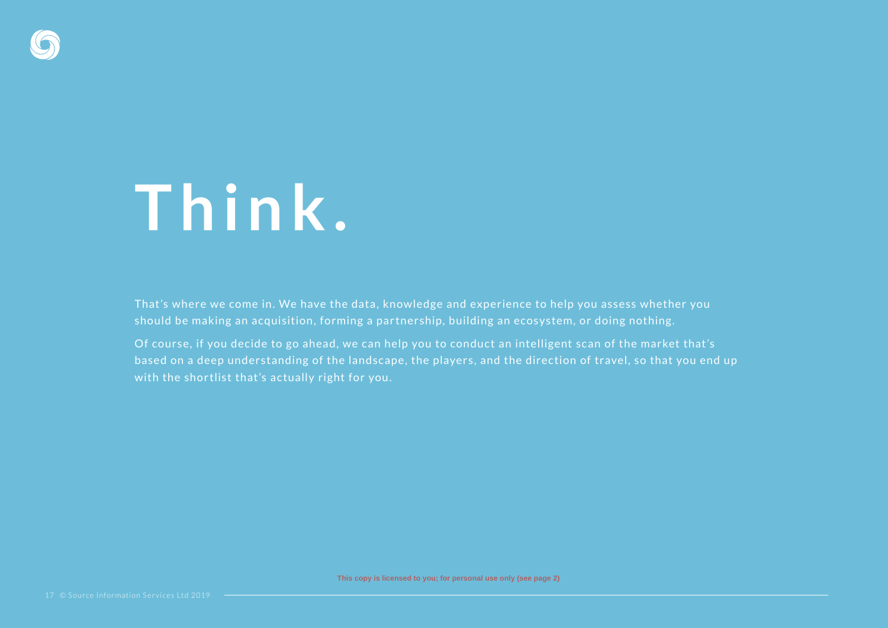

#### **T h i n k .**

That's where we come in. We have the data, knowledge and experience to help you assess whether you should be making an acquisition, forming a partnership, building an ecosystem, or doing nothing.

Of course, if you decide to go ahead, we can help you to conduct an intelligent scan of the market that's based on a deep understanding of the landscape, the players, and the direction of travel, so that you end up with the shortlist that's actually right for you.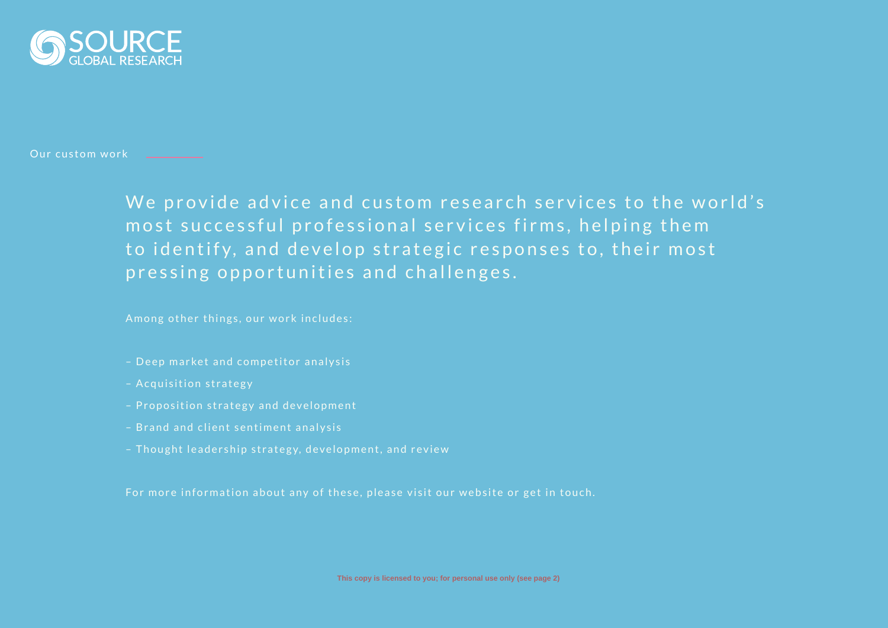

Our custom work

We provide advice and custom research services to the world's most successful professional services firms, helping them to identify, and develop strategic responses to, their most pressing opportunities and challenges.

Among other things, our work includes:

- Deep market and competitor analysis
- Acquisition strategy
- Proposition strategy and development
- Brand and client sentiment analysis
- Thought leadership strategy, development, and review

For more information about any of these, please visit our website or get in touch.